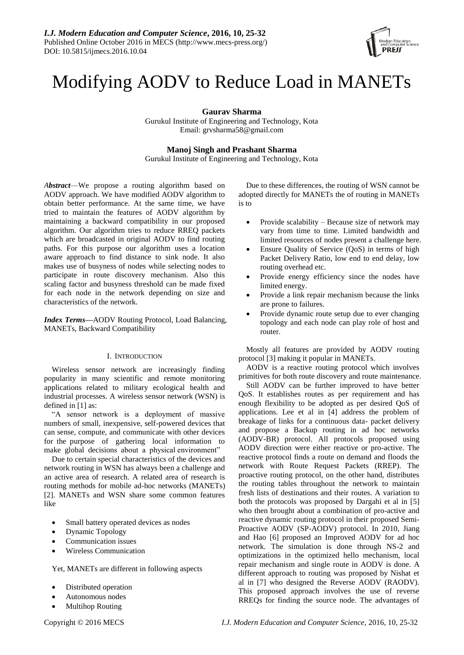

# Modifying AODV to Reduce Load in MANETs

**Gaurav Sharma**

Gurukul Institute of Engineering and Technology, Kota Email: grvsharma58@gmail.com

**Manoj Singh and Prashant Sharma**

Gurukul Institute of Engineering and Technology, Kota

*Abstract*—We propose a routing algorithm based on AODV approach. We have modified AODV algorithm to obtain better performance. At the same time, we have tried to maintain the features of AODV algorithm by maintaining a backward compatibility in our proposed algorithm. Our algorithm tries to reduce RREQ packets which are broadcasted in original AODV to find routing paths. For this purpose our algorithm uses a location aware approach to find distance to sink node. It also makes use of busyness of nodes while selecting nodes to participate in route discovery mechanism. Also this scaling factor and busyness threshold can be made fixed for each node in the network depending on size and characteristics of the network.

*Index Terms***—**AODV Routing Protocol, Load Balancing, MANETs, Backward Compatibility

## I. INTRODUCTION

Wireless sensor network are increasingly finding popularity in many scientific and remote monitoring applications related to military ecological health and industrial processes. A wireless sensor network (WSN) is defined in [1] as:

―A sensor network is a deployment of massive numbers of small, inexpensive, self-powered devices that can sense, compute, and communicate with other devices for the purpose of gathering local information to make global decisions about a physical environment"

Due to certain special characteristics of the devices and network routing in WSN has always been a challenge and an active area of research. A related area of research is routing methods for mobile ad-hoc networks (MANETs) [2]. MANETs and WSN share some common features like

- Small battery operated devices as nodes
- Dynamic Topology
- Communication issues
- Wireless Communication

Yet, MANETs are different in following aspects

- Distributed operation
- Autonomous nodes
- Multihop Routing

Due to these differences, the routing of WSN cannot be adopted directly for MANETs the of routing in MANETs is to

- Provide scalability Because size of network may vary from time to time. Limited bandwidth and limited resources of nodes present a challenge here.
- Ensure Quality of Service (QoS) in terms of high Packet Delivery Ratio, low end to end delay, low routing overhead etc.
- Provide energy efficiency since the nodes have limited energy.
- Provide a link repair mechanism because the links are prone to failures.
- Provide dynamic route setup due to ever changing topology and each node can play role of host and router.

Mostly all features are provided by AODV routing protocol [3] making it popular in MANETs.

AODV is a reactive routing protocol which involves primitives for both route discovery and route maintenance.

Still AODV can be further improved to have better QoS. It establishes routes as per requirement and has enough flexibility to be adopted as per desired QoS of applications. Lee et al in [4] address the problem of breakage of links for a continuous data- packet delivery and propose a Backup routing in ad hoc networks (AODV-BR) protocol. All protocols proposed using AODV direction were either reactive or pro-active. The reactive protocol finds a route on demand and floods the network with Route Request Packets (RREP). The proactive routing protocol, on the other hand, distributes the routing tables throughout the network to maintain fresh lists of destinations and their routes. A variation to both the protocols was proposed by Dargahi et al in [5] who then brought about a combination of pro-active and reactive dynamic routing protocol in their proposed Semi-Proactive AODV (SP-AODV) protocol. In 2010, Jiang and Hao [6] proposed an Improved AODV for ad hoc network. The simulation is done through NS-2 and optimizations in the optimized hello mechanism, local repair mechanism and single route in AODV is done. A different approach to routing was proposed by Nishat et al in [7] who designed the Reverse AODV (RAODV). This proposed approach involves the use of reverse RREQs for finding the source node. The advantages of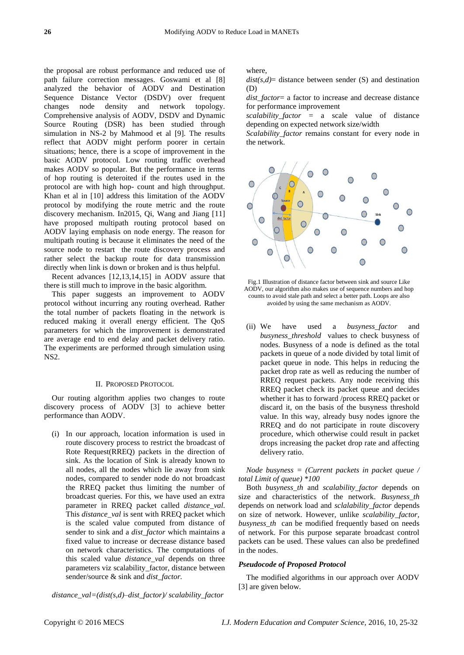the proposal are robust performance and reduced use of path failure correction messages. Goswami et al [8] analyzed the behavior of AODV and Destination Sequence Distance Vector (DSDV) over frequent changes node density and network topology. Comprehensive analysis of AODV, DSDV and Dynamic Source Routing (DSR) has been studied through simulation in NS-2 by Mahmood et al [9]. The results reflect that AODV might perform poorer in certain situations; hence, there is a scope of improvement in the basic AODV protocol. Low routing traffic overhead makes AODV so popular. But the performance in terms of hop routing is deteroited if the routes used in the protocol are with high hop- count and high throughput. Khan et al in [10] address this limitation of the AODV protocol by modifying the route metric and the route discovery mechanism. In2015, Qi, Wang and Jiang [11] have proposed multipath routing protocol based on AODV laying emphasis on node energy. The reason for multipath routing is because it eliminates the need of the source node to restart the route discovery process and rather select the backup route for data transmission directly when link is down or broken and is thus helpful.

Recent advances [12,13,14,15] in AODV assure that there is still much to improve in the basic algorithm.

This paper suggests an improvement to AODV protocol without incurring any routing overhead. Rather the total number of packets floating in the network is reduced making it overall energy efficient. The QoS parameters for which the improvement is demonstrated are average end to end delay and packet delivery ratio. The experiments are performed through simulation using NS2.

#### II. PROPOSED PROTOCOL

Our routing algorithm applies two changes to route discovery process of AODV [3] to achieve better performance than AODV.

(i) In our approach, location information is used in route discovery process to restrict the broadcast of Rote Request(RREQ) packets in the direction of sink. As the location of Sink is already known to all nodes, all the nodes which lie away from sink nodes, compared to sender node do not broadcast the RREQ packet thus limiting the number of broadcast queries. For this, we have used an extra parameter in RREQ packet called *distance\_val.*  This *distance\_val* is sent with RREQ packet which is the scaled value computed from distance of sender to sink and a *dist\_factor* which maintains a fixed value to increase or decrease distance based on network characteristics. The computations of this scaled value *distance\_val* depends on three parameters viz scalability\_factor, distance between sender/source & sink and *dist\_factor.*

where,

*dist(s,d)*= distance between sender (S) and destination (D)

*dist\_factor*= a factor to increase and decrease distance for performance improvement

*scalability\_factor* = a scale value of distance depending on expected network size/width

*Scalability\_factor* remains constant for every node in the network.



Fig.1 Illustration of distance factor between sink and source Like AODV, our algorithm also makes use of sequence numbers and hop counts to avoid stale path and select a better path. Loops are also avoided by using the same mechanism as AODV.

(ii) We have used a *busyness\_factor* and *busyness\_threshold* values to check busyness of nodes. Busyness of a node is defined as the total packets in queue of a node divided by total limit of packet queue in node. This helps in reducing the packet drop rate as well as reducing the number of RREQ request packets. Any node receiving this RREQ packet check its packet queue and decides whether it has to forward /process RREQ packet or discard it, on the basis of the busyness threshold value. In this way, already busy nodes ignore the RREQ and do not participate in route discovery procedure, which otherwise could result in packet drops increasing the packet drop rate and affecting delivery ratio.

*Node busyness = (Current packets in packet queue / total Limit of queue) \*100*

Both *busyness\_th* and *scalability\_factor* depends on size and characteristics of the network. *Busyness\_th* depends on network load and *sclalability\_factor* depends on size of network. However, unlike *scalability\_factor, busyness\_th* can be modified frequently based on needs of network. For this purpose separate broadcast control packets can be used. These values can also be predefined in the nodes.

### *Pseudocode of Proposed Protocol*

The modified algorithms in our approach over AODV [3] are given below.

*distance\_val=(dist(s,d)–dist\_factor)/ scalability\_factor*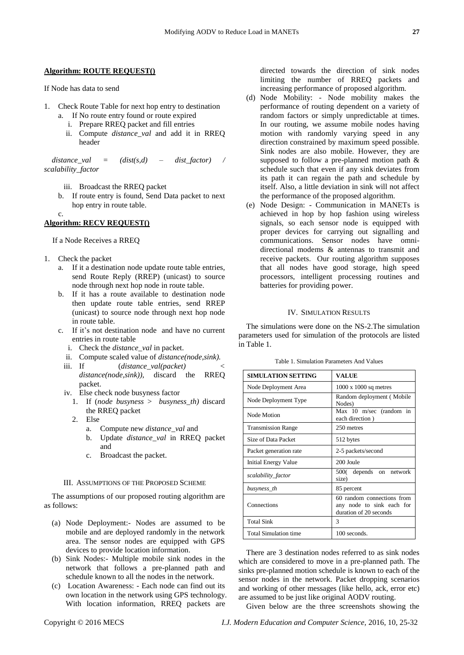If Node has data to send

- 1. Check Route Table for next hop entry to destination
	- a. If No route entry found or route expired
		- i. Prepare RREQ packet and fill entries
		- ii. Compute *distance\_val* and add it in RREQ header

 $distance \text{ val } = (dist(s,d) - dist factor)$  / *scalability\_factor*

- iii. Broadcast the RREQ packet
- b. If route entry is found, Send Data packet to next hop entry in route table.

c.

#### **Algorithm: RECV REQUEST()**

If a Node Receives a RREQ

- 1. Check the packet
	- a. If it a destination node update route table entries, send Route Reply (RREP) (unicast) to source node through next hop node in route table.
	- b. If it has a route available to destination node then update route table entries, send RREP (unicast) to source node through next hop node in route table.
	- c. If it's not destination node and have no current entries in route table
		- i. Check the *distance\_val* in packet.
		- ii. Compute scaled value of *distance*(node,sink).<br>iii. If (*distance val(packet*)
		- (*distance\_val(packet*) *distance(node,sink)),* discard the RREQ packet.
		- iv. Else check node busyness factor
			- 1. If (*node busyness* > *busyness\_th)* discard the RREQ packet
			- 2. Else
				- a. Compute new *distance\_val* and
				- b. Update *distance\_val* in RREQ packet and
				- c. Broadcast the packet.

## III. ASSUMPTIONS OF THE PROPOSED SCHEME

The assumptions of our proposed routing algorithm are as follows:

- (a) Node Deployment:- Nodes are assumed to be mobile and are deployed randomly in the network area. The sensor nodes are equipped with GPS devices to provide location information.
- (b) Sink Nodes:- Multiple mobile sink nodes in the network that follows a pre-planned path and schedule known to all the nodes in the network.
- (c) Location Awareness: Each node can find out its own location in the network using GPS technology. With location information, RREQ packets are

directed towards the direction of sink nodes limiting the number of RREQ packets and increasing performance of proposed algorithm.

- (d) Node Mobility: Node mobility makes the performance of routing dependent on a variety of random factors or simply unpredictable at times. In our routing, we assume mobile nodes having motion with randomly varying speed in any direction constrained by maximum speed possible. Sink nodes are also mobile. However, they are supposed to follow a pre-planned motion path & schedule such that even if any sink deviates from its path it can regain the path and schedule by itself. Also, a little deviation in sink will not affect the performance of the proposed algorithm.
- (e) Node Design: Communication in MANETs is achieved in hop by hop fashion using wireless signals, so each sensor node is equipped with proper devices for carrying out signalling and communications. Sensor nodes have omnidirectional modems & antennas to transmit and receive packets. Our routing algorithm supposes that all nodes have good storage, high speed processors, intelligent processing routines and batteries for providing power.

## IV. SIMULATION RESULTS

The simulations were done on the NS-2.The simulation parameters used for simulation of the protocols are listed in Table 1.

Table 1. Simulation Parameters And Values

| SIMULATION SETTING        | VALUE                                                                             |
|---------------------------|-----------------------------------------------------------------------------------|
| Node Deployment Area      | $1000 \times 1000$ sq metres                                                      |
| Node Deployment Type      | Random deployment (Mobile<br>Nodes)                                               |
| Node Motion               | Max 10 m/sec (random in<br>each direction)                                        |
| <b>Transmission Range</b> | 250 metres                                                                        |
| Size of Data Packet       | 512 bytes                                                                         |
| Packet generation rate    | 2-5 packets/second                                                                |
| Initial Energy Value      | 200 Joule                                                                         |
| scalability_factor        | 500( depends on network<br>size)                                                  |
| busyness_th               | 85 percent                                                                        |
| Connections               | 60 random connections from<br>any node to sink each for<br>duration of 20 seconds |
| <b>Total Sink</b>         | 3                                                                                 |
| Total Simulation time     | 100 seconds.                                                                      |

There are 3 destination nodes referred to as sink nodes which are considered to move in a pre-planned path. The sinks pre-planned motion schedule is known to each of the sensor nodes in the network. Packet dropping scenarios and working of other messages (like hello, ack, error etc) are assumed to be just like original AODV routing.

Given below are the three screenshots showing the

Copyright © 2016 MECS *I.J. Modern Education and Computer Science,* 2016, 10, 25-32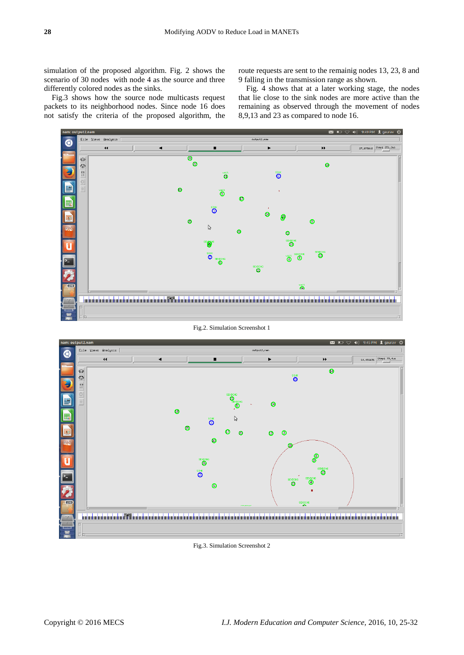simulation of the proposed algorithm. Fig. 2 shows the scenario of 30 nodes with node 4 as the source and three differently colored nodes as the sinks.

Fig.3 shows how the source node multicasts request packets to its neighborhood nodes. Since node 16 does not satisfy the criteria of the proposed algorithm, the

route requests are sent to the remainig nodes 13, 23, 8 and 9 falling in the transmission range as shown.

Fig. 4 shows that at a later working stage, the nodes that lie close to the sink nodes are more active than the remaining as observed through the movement of nodes 8,9,13 and 23 as compared to node 16.



Fig.2. Simulation Screenshot 1



Fig.3. Simulation Screenshot 2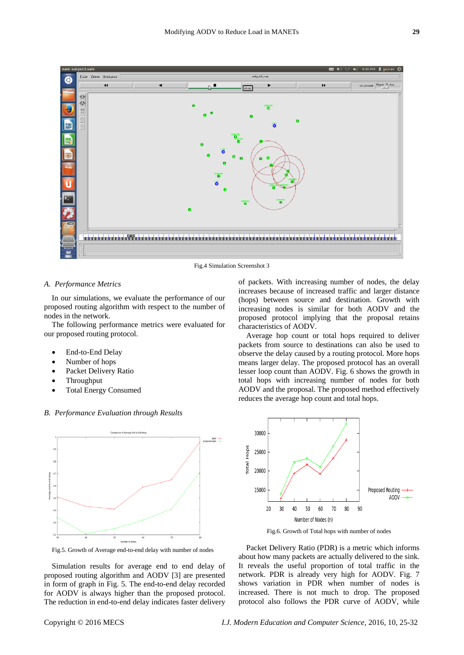

Fig.4 Simulation Screenshot 3

#### *A. Performance Metrics*

In our simulations, we evaluate the performance of our proposed routing algorithm with respect to the number of nodes in the network.

The following performance metrics were evaluated for our proposed routing protocol.

- End-to-End Delay
- Number of hops
- Packet Delivery Ratio
- Throughput
- Total Energy Consumed

### *B. Performance Evaluation through Results*



Fig.5. Growth of Average end-to-end delay with number of nodes

Simulation results for average end to end delay of proposed routing algorithm and AODV [3] are presented in form of graph in Fig. 5. The end-to-end delay recorded for AODV is always higher than the proposed protocol. The reduction in end-to-end delay indicates faster delivery of packets. With increasing number of nodes, the delay increases because of increased traffic and larger distance (hops) between source and destination. Growth with increasing nodes is similar for both AODV and the proposed protocol implying that the proposal retains characteristics of AODV.

Average hop count or total hops required to deliver packets from source to destinations can also be used to observe the delay caused by a routing protocol. More hops means larger delay. The proposed protocol has an overall lesser loop count than AODV. Fig. 6 shows the growth in total hops with increasing number of nodes for both AODV and the proposal. The proposed method effectively reduces the average hop count and total hops.



Fig.6. Growth of Total hops with number of nodes

Packet Delivery Ratio (PDR) is a metric which informs about how many packets are actually delivered to the sink. It reveals the useful proportion of total traffic in the network. PDR is already very high for AODV. Fig. 7 shows variation in PDR when number of nodes is increased. There is not much to drop. The proposed protocol also follows the PDR curve of AODV, while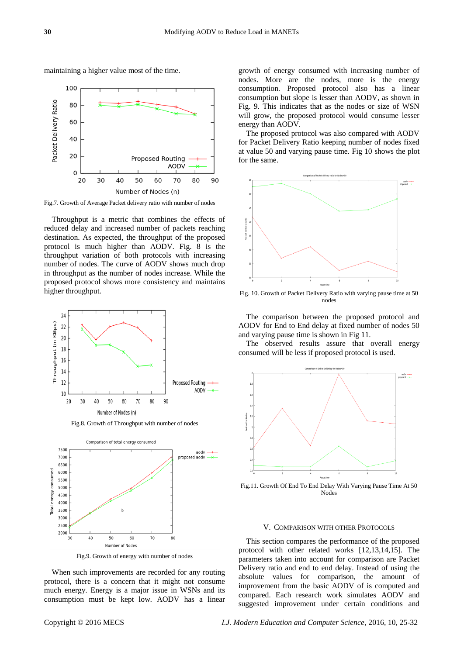

maintaining a higher value most of the time.

Fig.7. Growth of Average Packet delivery ratio with number of nodes

Throughput is a metric that combines the effects of reduced delay and increased number of packets reaching destination. As expected, the throughput of the proposed protocol is much higher than AODV. Fig. 8 is the throughput variation of both protocols with increasing number of nodes. The curve of AODV shows much drop in throughput as the number of nodes increase. While the proposed protocol shows more consistency and maintains higher throughput.





Fig.9. Growth of energy with number of nodes

When such improvements are recorded for any routing protocol, there is a concern that it might not consume much energy. Energy is a major issue in WSNs and its consumption must be kept low. AODV has a linear

growth of energy consumed with increasing number of nodes. More are the nodes, more is the energy consumption. Proposed protocol also has a linear consumption but slope is lesser than AODV, as shown in Fig. 9. This indicates that as the nodes or size of WSN will grow, the proposed protocol would consume lesser energy than AODV.

The proposed protocol was also compared with AODV for Packet Delivery Ratio keeping number of nodes fixed at value 50 and varying pause time. Fig 10 shows the plot for the same.



Fig. 10. Growth of Packet Delivery Ratio with varying pause time at 50 nodes

The comparison between the proposed protocol and AODV for End to End delay at fixed number of nodes 50 and varying pause time is shown in Fig 11.

The observed results assure that overall energy consumed will be less if proposed protocol is used.



Fig.11. Growth Of End To End Delay With Varying Pause Time At 50 Nodes

#### V. COMPARISON WITH OTHER PROTOCOLS

This section compares the performance of the proposed protocol with other related works [12,13,14,15]. The parameters taken into account for comparison are Packet Delivery ratio and end to end delay. Instead of using the absolute values for comparison, the amount of improvement from the basic AODV of is computed and compared. Each research work simulates AODV and suggested improvement under certain conditions and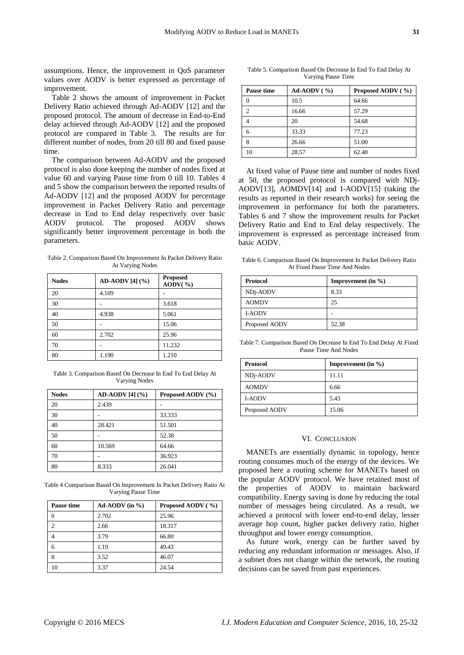assumptions. Hence, the improvement in QoS parameter values over AODV is better expressed as percentage of improvement.

Table 2 shows the amount of improvement in Packet Delivery Ratio achieved through Ad-AODV [12] and the proposed protocol. The amount of decrease in End-to-End delay achieved through Ad-AODV [12] and the proposed protocol are compared in Table 3. The results are for different number of nodes, from 20 till 80 and fixed pause time.

The comparison between Ad-AODV and the proposed protocol is also done keeping the number of nodes fixed at value 60 and varying Pause time from 0 till 10. Tables 4 and 5 show the comparison between the reported results of Ad-AODV [12] and the proposed AODV for percentage improvement in Packet Delivery Ratio and percentage decrease in End to End delay respectively over basic AODV protocol. The proposed AODV shows significantly better improvement percentage in both the parameters.

Table 2. Comparison Based On Improvement In Packet Delivery Ratio At Varying Nodes

| <b>Nodes</b> | AD-AODV [4] (%) | <b>Proposed</b><br>AODV $($ %) |
|--------------|-----------------|--------------------------------|
| 20           | 4.109           |                                |
| 30           |                 | 3.618                          |
| 40           | 4.938           | 5.061                          |
| 50           |                 | 15.06                          |
| 60           | 2.702           | 25.96                          |
| 70           |                 | 11.232                         |
| 80           | 1.190           | 1.210                          |

Table 3. Comparison Based On Decrease In End To End Delay At Varying Nodes

| <b>Nodes</b> | AD-AODV [4] (%) | Proposed AODV (%) |
|--------------|-----------------|-------------------|
| 20           | 2.439           |                   |
| 30           |                 | 33.333            |
| 40           | 28.421          | 51.501            |
| 50           |                 | 52.38             |
| 60           | 10.569          | 64.66             |
| 70           |                 | 36.923            |
| 80           | 8.333           | 26.041            |

Table 4 Comparison Based On Improvement In Packet Delivery Ratio At Varying Pause Time

| <b>Pause time</b> | $Ad- AODV$ (in %) | Proposed AODV (%) |
|-------------------|-------------------|-------------------|
|                   | 2.702             | 25.96             |
|                   | 2.66              | 18.317            |
|                   | 3.79              | 66.80             |
| 6                 | 1.19              | 49.43             |
| 8                 | 3.52              | 46.07             |
| 10                | 3.37              | 24.54             |

Table 5. Comparison Based On Decrease In End To End Delay At Varying Pause Time

| <b>Pause time</b> | $Ad-AODV$ (%) | Proposed AODV (%) |
|-------------------|---------------|-------------------|
| 0                 | 10.5          | 64.66             |
| $\mathcal{D}$     | 16.66         | 57.29             |
|                   | 20            | 54.68             |
| 6                 | 33.33         | 77.23             |
| 8                 | 26.66         | 51.00             |
|                   | 28.57         | 62.40             |

At fixed value of Pause time and number of nodes fixed at 50, the proposed protocol is compared with NDj-AODV[13], AOMDV[14] and I-AODV[15] (taking the results as reported in their research works) for seeing the improvement in performance for both the parameters. Tables 6 and 7 show the improvement results for Packet Delivery Ratio and End to End delay respectively. The improvement is expressed as percentage increased from basic AODV.

Table 6. Comparison Based On Improvement In Packet Delivery Ratio At Fixed Pause Time And Nodes

| <b>Protocol</b> | Improvement (in $\%$ ) |
|-----------------|------------------------|
| NDj-AODV        | 8.33                   |
| <b>AOMDV</b>    | 25                     |
| <b>I-AODV</b>   |                        |
| Proposed AODV   | 52.38                  |

Table 7. Comparison Based On Decrease In End To End Delay At Fixed Pause Time And Nodes

| <b>Protocol</b> | Improvement (in $\%$ ) |
|-----------------|------------------------|
| NDj-AODV        | 11.11                  |
| <b>AOMDV</b>    | 6.66                   |
| <b>I-AODV</b>   | 5.43                   |
| Proposed AODV   | 15.06                  |

## VI. CONCLUSION

MANETs are essentially dynamic in topology, hence routing consumes much of the energy of the devices. We proposed here a routing scheme for MANETs based on the popular AODV protocol. We have retained most of the properties of AODV to maintain backward compatibility. Energy saving is done by reducing the total number of messages being circulated. As a result, we achieved a protocol with lower end-to-end delay, lesser average hop count, higher packet delivery ratio, higher throughput and lower energy consumption.

As future work, energy can be further saved by reducing any redundant information or messages. Also, if a subnet does not change within the network, the routing decisions can be saved from past experiences.